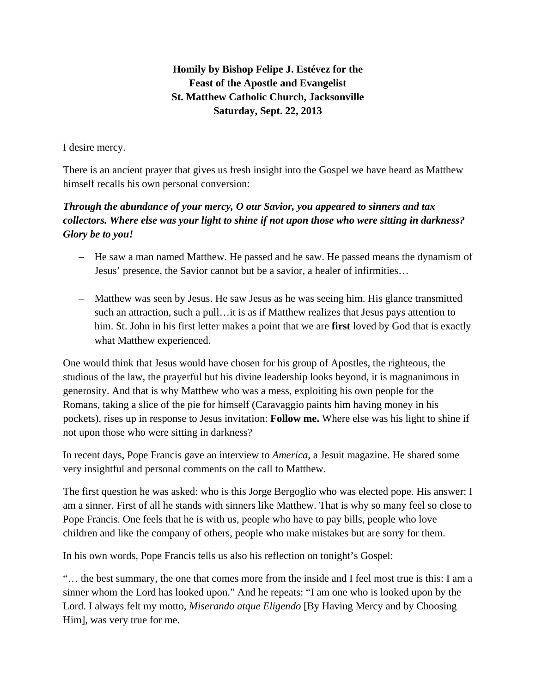**Homily by Bishop Felipe J. Estévez for the Feast of the Apostle and Evangelist St. Matthew Catholic Church, Jacksonville Saturday, Sept. 22, 2013** 

I desire mercy.

There is an ancient prayer that gives us fresh insight into the Gospel we have heard as Matthew himself recalls his own personal conversion:

## *Through the abundance of your mercy, O our Savior, you appeared to sinners and tax collectors. Where else was your light to shine if not upon those who were sitting in darkness? Glory be to you!*

- He saw a man named Matthew. He passed and he saw. He passed means the dynamism of Jesus' presence, the Savior cannot but be a savior, a healer of infirmities…
- Matthew was seen by Jesus. He saw Jesus as he was seeing him. His glance transmitted such an attraction, such a pull…it is as if Matthew realizes that Jesus pays attention to him. St. John in his first letter makes a point that we are **first** loved by God that is exactly what Matthew experienced.

One would think that Jesus would have chosen for his group of Apostles, the righteous, the studious of the law, the prayerful but his divine leadership looks beyond, it is magnanimous in generosity. And that is why Matthew who was a mess, exploiting his own people for the Romans, taking a slice of the pie for himself (Caravaggio paints him having money in his pockets), rises up in response to Jesus invitation: **Follow me.** Where else was his light to shine if not upon those who were sitting in darkness?

In recent days, Pope Francis gave an interview to *America*, a Jesuit magazine. He shared some very insightful and personal comments on the call to Matthew.

The first question he was asked: who is this Jorge Bergoglio who was elected pope. His answer: I am a sinner. First of all he stands with sinners like Matthew. That is why so many feel so close to Pope Francis. One feels that he is with us, people who have to pay bills, people who love children and like the company of others, people who make mistakes but are sorry for them.

In his own words, Pope Francis tells us also his reflection on tonight's Gospel:

"… the best summary, the one that comes more from the inside and I feel most true is this: I am a sinner whom the Lord has looked upon." And he repeats: "I am one who is looked upon by the Lord. I always felt my motto, *Miserando atque Eligendo* [By Having Mercy and by Choosing Him], was very true for me.